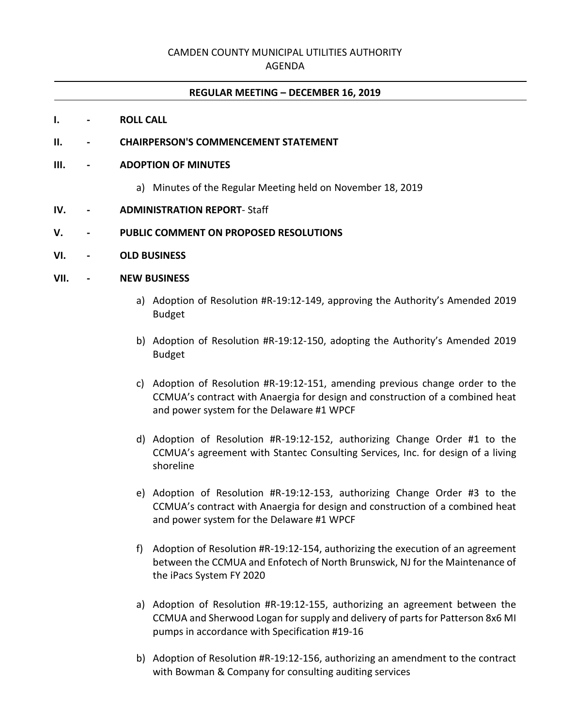# CAMDEN COUNTY MUNICIPAL UTILITIES AUTHORITY

### AGENDA

#### **REGULAR MEETING – DECEMBER 16, 2019**

#### **I. - ROLL CALL**

#### **II. - CHAIRPERSON'S COMMENCEMENT STATEMENT**

#### **III. - ADOPTION OF MINUTES**

- a) Minutes of the Regular Meeting held on November 18, 2019
- **IV. - ADMINISTRATION REPORT** Staff

#### **V. - PUBLIC COMMENT ON PROPOSED RESOLUTIONS**

**VI. - OLD BUSINESS**

#### **VII. - NEW BUSINESS**

- a) Adoption of Resolution #R-19:12-149, approving the Authority's Amended 2019 Budget
- b) Adoption of Resolution #R-19:12-150, adopting the Authority's Amended 2019 Budget
- c) Adoption of Resolution #R-19:12-151, amending previous change order to the CCMUA's contract with Anaergia for design and construction of a combined heat and power system for the Delaware #1 WPCF
- d) Adoption of Resolution #R-19:12-152, authorizing Change Order #1 to the CCMUA's agreement with Stantec Consulting Services, Inc. for design of a living shoreline
- e) Adoption of Resolution #R-19:12-153, authorizing Change Order #3 to the CCMUA's contract with Anaergia for design and construction of a combined heat and power system for the Delaware #1 WPCF
- f) Adoption of Resolution #R-19:12-154, authorizing the execution of an agreement between the CCMUA and Enfotech of North Brunswick, NJ for the Maintenance of the iPacs System FY 2020
- a) Adoption of Resolution #R-19:12-155, authorizing an agreement between the CCMUA and Sherwood Logan for supply and delivery of parts for Patterson 8x6 MI pumps in accordance with Specification #19-16
- b) Adoption of Resolution #R-19:12-156, authorizing an amendment to the contract with Bowman & Company for consulting auditing services